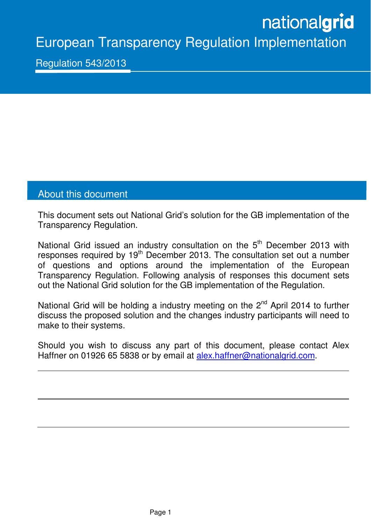# nationalgrid

European Transparency Regulation Implementation

Regulation 543/2013

Ξ

# About this document

This document sets out National Grid's solution for the GB implementation of the Transparency Regulation.

National Grid issued an industry consultation on the 5<sup>th</sup> December 2013 with responses required by 19<sup>th</sup> December 2013. The consultation set out a number of questions and options around the implementation of the European Transparency Regulation. Following analysis of responses this document sets out the National Grid solution for the GB implementation of the Regulation.

National Grid will be holding a industry meeting on the  $2^{nd}$  April 2014 to further discuss the proposed solution and the changes industry participants will need to make to their systems.

Should you wish to discuss any part of this document, please contact Alex Haffner on 01926 65 5838 or by email at alex.haffner@nationalgrid.com.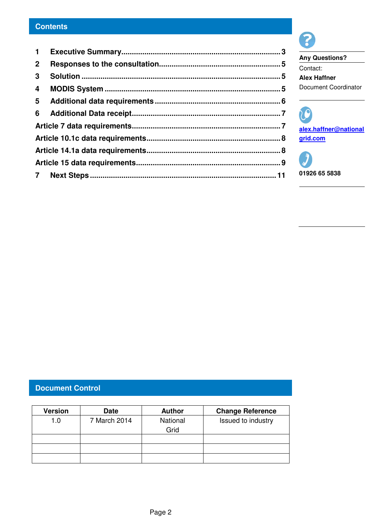# **Contents**

| $\mathbf 1$    |  |
|----------------|--|
| 2 <sup>1</sup> |  |
| $\mathbf{3}$   |  |
| $\overline{4}$ |  |
|                |  |
|                |  |
|                |  |
|                |  |
|                |  |
|                |  |
|                |  |



**Any Questions?**  Contact: **Alex Haffner**  Document Coordinator

20 **alex.haffner@national grid.com**

**01926 65 5838** 

# **Document Control**

| <b>Version</b> | <b>Date</b>  | <b>Author</b> | <b>Change Reference</b> |
|----------------|--------------|---------------|-------------------------|
| 1.0            | 7 March 2014 | National      | Issued to industry      |
|                |              | Grid          |                         |
|                |              |               |                         |
|                |              |               |                         |
|                |              |               |                         |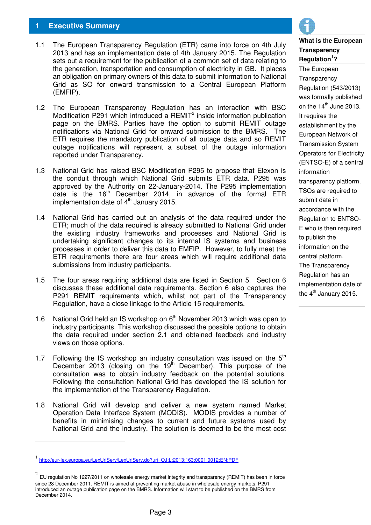# **1 Executive Summary**

- 1.1 The European Transparency Regulation (ETR) came into force on 4th July 2013 and has an implementation date of 4th January 2015. The Regulation sets out a requirement for the publication of a common set of data relating to the generation, transportation and consumption of electricity in GB. It places an obligation on primary owners of this data to submit information to National Grid as SO for onward transmission to a Central European Platform (EMFIP).
- 1.2 The European Transparency Regulation has an interaction with BSC Modification P291 which introduced a REMIT<sup>2</sup> inside information publication page on the BMRS. Parties have the option to submit REMIT outage notifications via National Grid for onward submission to the BMRS. The ETR requires the mandatory publication of all outage data and so REMIT outage notifications will represent a subset of the outage information reported under Transparency.
- 1.3 National Grid has raised BSC Modification P295 to propose that Elexon is the conduit through which National Grid submits ETR data. P295 was approved by the Authority on 22-January-2014. The P295 implementation date is the 16<sup>th</sup> December 2014, in advance of the formal ETR implementation date of  $4<sup>th</sup>$  January 2015.
- 1.4 National Grid has carried out an analysis of the data required under the ETR; much of the data required is already submitted to National Grid under the existing industry frameworks and processes and National Grid is undertaking significant changes to its internal IS systems and business processes in order to deliver this data to EMFIP. However, to fully meet the ETR requirements there are four areas which will require additional data submissions from industry participants.
- 1.5 The four areas requiring additional data are listed in Section 5. Section 6 discusses these additional data requirements. Section 6 also captures the P291 REMIT requirements which, whilst not part of the Transparency Regulation, have a close linkage to the Article 15 requirements.
- 1.6 National Grid held an IS workshop on  $6<sup>th</sup>$  November 2013 which was open to industry participants. This workshop discussed the possible options to obtain the data required under section 2.1 and obtained feedback and industry views on those options.
- 1.7 Following the IS workshop an industry consultation was issued on the  $5<sup>th</sup>$ December 2013 (closing on the 19<sup>th</sup> December). This purpose of the consultation was to obtain industry feedback on the potential solutions. Following the consultation National Grid has developed the IS solution for the implementation of the Transparency Regulation.
- 1.8 National Grid will develop and deliver a new system named Market Operation Data Interface System (MODIS). MODIS provides a number of benefits in minimising changes to current and future systems used by National Grid and the industry. The solution is deemed to be the most cost

-



# **What is the European Transparency Regulation<sup>1</sup> ?**

The European **Transparency** Regulation (543/2013) was formally published on the  $14<sup>th</sup>$  June 2013. It requires the establishment by the European Network of Transmission System Operators for Electricity (ENTSO-E) of a central information transparency platform. TSOs are required to submit data in accordance with the Regulation to ENTSO-E who is then required to publish the information on the central platform. The Transparency Regulation has an implementation date of the  $4<sup>th</sup>$  January 2015.

<sup>1</sup> http://eur-lex.europa.eu/LexUriServ/LexUriServ.do?uri=OJ:L:2013:163:0001:0012:EN:PDF

 $^2$  EU regulation No 1227/2011 on wholesale energy market integrity and transparency (REMIT) has been in force since 28 December 2011. REMIT is aimed at preventing market abuse in wholesale energy markets. P291 introduced an outage publication page on the BMRS. Information will start to be published on the BMRS from December 2014.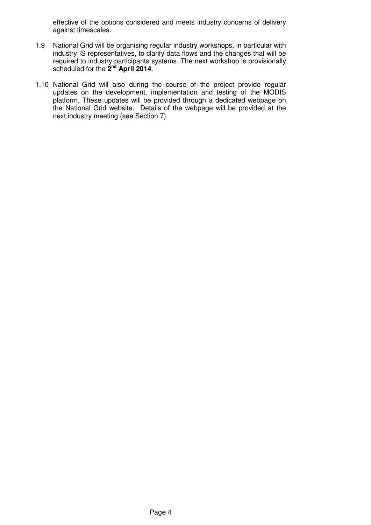effective of the options considered and meets industry concerns of delivery against timescales.

- 1.9 National Grid will be organising regular industry workshops, in particular with industry IS representatives, to clarify data flows and the changes that will be required to industry participants systems. The next workshop is provisionally scheduled for the 2<sup>nd</sup> April 2014.
- 1.10 National Grid will also during the course of the project provide regular updates on the development, implementation and testing of the MODIS platform. These updates will be provided through a dedicated webpage on the National Grid website. Details of the webpage will be provided at the next industry meeting (see Section 7).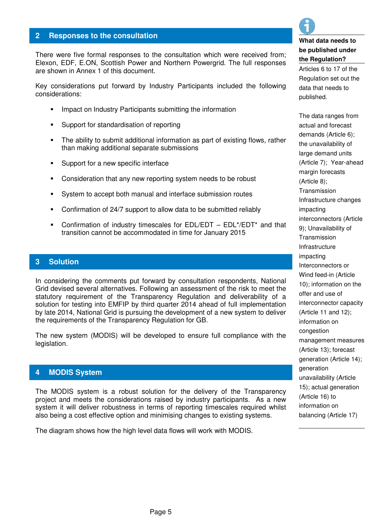## **2 Responses to the consultation**

There were five formal responses to the consultation which were received from; Elexon, EDF, E.ON, Scottish Power and Northern Powergrid. The full responses are shown in Annex 1 of this document.

Key considerations put forward by Industry Participants included the following considerations:

- Impact on Industry Participants submitting the information
- **Support for standardisation of reporting**
- The ability to submit additional information as part of existing flows, rather than making additional separate submissions
- **Support for a new specific interface**
- Consideration that any new reporting system needs to be robust
- System to accept both manual and interface submission routes
- Confirmation of 24/7 support to allow data to be submitted reliably
- Confirmation of industry timescales for EDL/EDT EDL\*/EDT\* and that transition cannot be accommodated in time for January 2015

#### **3 Solution**

In considering the comments put forward by consultation respondents, National Grid devised several alternatives. Following an assessment of the risk to meet the statutory requirement of the Transparency Regulation and deliverability of a solution for testing into EMFIP by third quarter 2014 ahead of full implementation by late 2014, National Grid is pursuing the development of a new system to deliver the requirements of the Transparency Regulation for GB.

The new system (MODIS) will be developed to ensure full compliance with the legislation.

## **4 MODIS System**

The MODIS system is a robust solution for the delivery of the Transparency project and meets the considerations raised by industry participants. As a new system it will deliver robustness in terms of reporting timescales required whilst also being a cost effective option and minimising changes to existing systems.

The diagram shows how the high level data flows will work with MODIS.



# **What data needs to be published under the Regulation?**

Articles 6 to 17 of the Regulation set out the data that needs to published.

The data ranges from actual and forecast demands (Article 6); the unavailability of large demand units (Article 7); Year-ahead margin forecasts (Article 8); **Transmission** Infrastructure changes impacting interconnectors (Article 9); Unavailability of **Transmission** Infrastructure impacting Interconnectors or Wind feed-in (Article 10); information on the offer and use of interconnector capacity (Article 11 and 12); information on congestion management measures (Article 13); forecast generation (Article 14); generation unavailability (Article 15); actual generation (Article 16) to information on balancing (Article 17)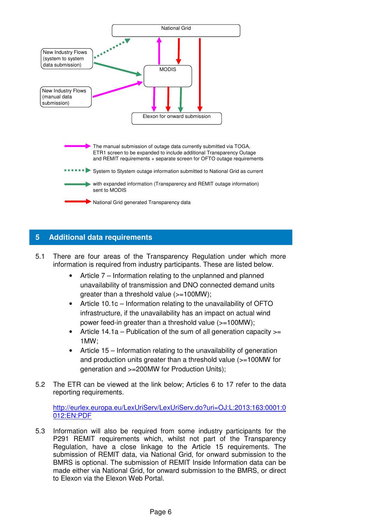

# **5 Additional data requirements**

- 5.1 There are four areas of the Transparency Regulation under which more information is required from industry participants. These are listed below.
	- Article 7 Information relating to the unplanned and planned unavailability of transmission and DNO connected demand units greater than a threshold value (>=100MW);
	- Article 10.1c Information relating to the unavailability of OFTO infrastructure, if the unavailability has an impact on actual wind power feed-in greater than a threshold value (>=100MW);
	- Article 14.1a Publication of the sum of all generation capacity  $>=$ 1MW;
	- Article 15 Information relating to the unavailability of generation and production units greater than a threshold value (>=100MW for generation and >=200MW for Production Units);
- 5.2 The ETR can be viewed at the link below; Articles 6 to 17 refer to the data reporting requirements.

http://eurlex.europa.eu/LexUriServ/LexUriServ.do?uri=OJ:L:2013:163:0001:0 012:EN:PDF

5.3 Information will also be required from some industry participants for the P291 REMIT requirements which, whilst not part of the Transparency Regulation, have a close linkage to the Article 15 requirements. The submission of REMIT data, via National Grid, for onward submission to the BMRS is optional. The submission of REMIT Inside Information data can be made either via National Grid, for onward submission to the BMRS, or direct to Elexon via the Elexon Web Portal.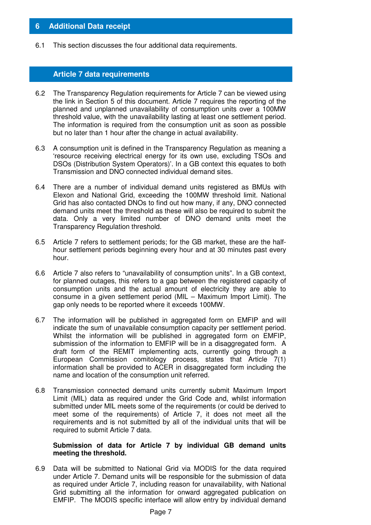## **6 Additional Data receipt**

6.1 This section discusses the four additional data requirements.

## **Article 7 data requirements**

- 6.2 The Transparency Regulation requirements for Article 7 can be viewed using the link in Section 5 of this document. Article 7 requires the reporting of the planned and unplanned unavailability of consumption units over a 100MW threshold value, with the unavailability lasting at least one settlement period. The information is required from the consumption unit as soon as possible but no later than 1 hour after the change in actual availability.
- 6.3 A consumption unit is defined in the Transparency Regulation as meaning a 'resource receiving electrical energy for its own use, excluding TSOs and DSOs (Distribution System Operators)'. In a GB context this equates to both Transmission and DNO connected individual demand sites.
- 6.4 There are a number of individual demand units registered as BMUs with Elexon and National Grid, exceeding the 100MW threshold limit. National Grid has also contacted DNOs to find out how many, if any, DNO connected demand units meet the threshold as these will also be required to submit the data. Only a very limited number of DNO demand units meet the Transparency Regulation threshold.
- 6.5 Article 7 refers to settlement periods; for the GB market, these are the halfhour settlement periods beginning every hour and at 30 minutes past every hour.
- 6.6 Article 7 also refers to "unavailability of consumption units". In a GB context, for planned outages, this refers to a gap between the registered capacity of consumption units and the actual amount of electricity they are able to consume in a given settlement period (MIL – Maximum Import Limit). The gap only needs to be reported where it exceeds 100MW.
- 6.7 The information will be published in aggregated form on EMFIP and will indicate the sum of unavailable consumption capacity per settlement period. Whilst the information will be published in aggregated form on EMFIP, submission of the information to EMFIP will be in a disaggregated form. A draft form of the REMIT implementing acts, currently going through a European Commission comitology process, states that Article 7(1) information shall be provided to ACER in disaggregated form including the name and location of the consumption unit referred.
- 6.8 Transmission connected demand units currently submit Maximum Import Limit (MIL) data as required under the Grid Code and, whilst information submitted under MIL meets some of the requirements (or could be derived to meet some of the requirements) of Article 7, it does not meet all the requirements and is not submitted by all of the individual units that will be required to submit Article 7 data.

#### **Submission of data for Article 7 by individual GB demand units meeting the threshold.**

6.9 Data will be submitted to National Grid via MODIS for the data required under Article 7. Demand units will be responsible for the submission of data as required under Article 7, including reason for unavailability, with National Grid submitting all the information for onward aggregated publication on EMFIP. The MODIS specific interface will allow entry by individual demand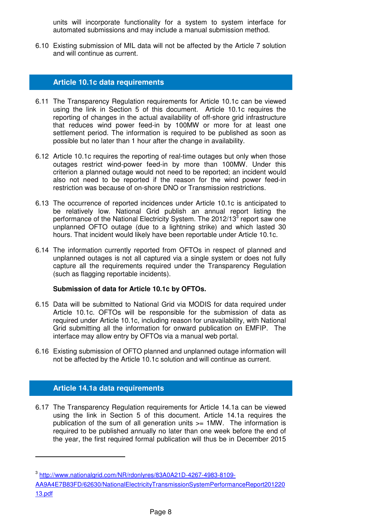units will incorporate functionality for a system to system interface for automated submissions and may include a manual submission method.

6.10 Existing submission of MIL data will not be affected by the Article 7 solution and will continue as current.

## **Article 10.1c data requirements**

- 6.11 The Transparency Regulation requirements for Article 10.1c can be viewed using the link in Section 5 of this document. Article 10.1c requires the reporting of changes in the actual availability of off-shore grid infrastructure that reduces wind power feed-in by 100MW or more for at least one settlement period. The information is required to be published as soon as possible but no later than 1 hour after the change in availability.
- 6.12 Article 10.1c requires the reporting of real-time outages but only when those outages restrict wind-power feed-in by more than 100MW. Under this criterion a planned outage would not need to be reported; an incident would also not need to be reported if the reason for the wind power feed-in restriction was because of on-shore DNO or Transmission restrictions.
- 6.13 The occurrence of reported incidences under Article 10.1c is anticipated to be relatively low. National Grid publish an annual report listing the performance of the National Electricity System. The 2012/13<sup>3</sup> report saw one unplanned OFTO outage (due to a lightning strike) and which lasted 30 hours. That incident would likely have been reportable under Article 10.1c.
- 6.14 The information currently reported from OFTOs in respect of planned and unplanned outages is not all captured via a single system or does not fully capture all the requirements required under the Transparency Regulation (such as flagging reportable incidents).

#### **Submission of data for Article 10.1c by OFTOs.**

- 6.15 Data will be submitted to National Grid via MODIS for data required under Article 10.1c. OFTOs will be responsible for the submission of data as required under Article 10.1c, including reason for unavailability, with National Grid submitting all the information for onward publication on EMFIP. The interface may allow entry by OFTOs via a manual web portal.
- 6.16 Existing submission of OFTO planned and unplanned outage information will not be affected by the Article 10.1c solution and will continue as current.

# **Article 14.1a data requirements**

 $\overline{a}$ 

6.17 The Transparency Regulation requirements for Article 14.1a can be viewed using the link in Section 5 of this document. Article 14.1a requires the publication of the sum of all generation units >= 1MW. The information is required to be published annually no later than one week before the end of the year, the first required formal publication will thus be in December 2015

<sup>3</sup> http://www.nationalgrid.com/NR/rdonlyres/83A0A21D-4267-4983-8109-

AA9A4E7B83FD/62630/NationalElectricityTransmissionSystemPerformanceReport201220 13.pdf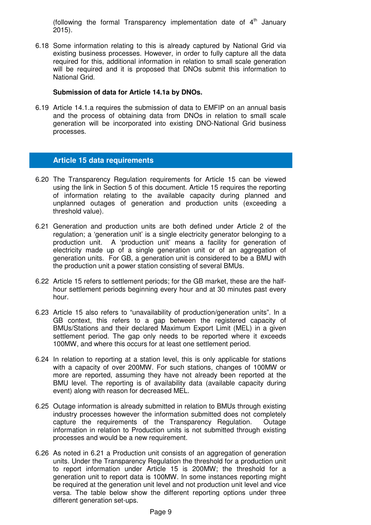(following the formal Transparency implementation date of  $4<sup>th</sup>$  January 2015).

6.18 Some information relating to this is already captured by National Grid via existing business processes. However, in order to fully capture all the data required for this, additional information in relation to small scale generation will be required and it is proposed that DNOs submit this information to National Grid.

#### **Submission of data for Article 14.1a by DNOs.**

6.19 Article 14.1.a requires the submission of data to EMFIP on an annual basis and the process of obtaining data from DNOs in relation to small scale generation will be incorporated into existing DNO-National Grid business processes.

## **Article 15 data requirements**

- 6.20 The Transparency Regulation requirements for Article 15 can be viewed using the link in Section 5 of this document. Article 15 requires the reporting of information relating to the available capacity during planned and unplanned outages of generation and production units (exceeding a threshold value).
- 6.21 Generation and production units are both defined under Article 2 of the regulation; a 'generation unit' is a single electricity generator belonging to a production unit. A 'production unit' means a facility for generation of electricity made up of a single generation unit or of an aggregation of generation units. For GB, a generation unit is considered to be a BMU with the production unit a power station consisting of several BMUs.
- 6.22 Article 15 refers to settlement periods; for the GB market, these are the halfhour settlement periods beginning every hour and at 30 minutes past every hour.
- 6.23 Article 15 also refers to "unavailability of production/generation units". In a GB context, this refers to a gap between the registered capacity of BMUs/Stations and their declared Maximum Export Limit (MEL) in a given settlement period. The gap only needs to be reported where it exceeds 100MW, and where this occurs for at least one settlement period.
- 6.24 In relation to reporting at a station level, this is only applicable for stations with a capacity of over 200MW. For such stations, changes of 100MW or more are reported, assuming they have not already been reported at the BMU level. The reporting is of availability data (available capacity during event) along with reason for decreased MEL.
- 6.25 Outage information is already submitted in relation to BMUs through existing industry processes however the information submitted does not completely capture the requirements of the Transparency Regulation. Outage information in relation to Production units is not submitted through existing processes and would be a new requirement.
- 6.26 As noted in 6.21 a Production unit consists of an aggregation of generation units. Under the Transparency Regulation the threshold for a production unit to report information under Article 15 is 200MW; the threshold for a generation unit to report data is 100MW. In some instances reporting might be required at the generation unit level and not production unit level and vice versa. The table below show the different reporting options under three different generation set-ups.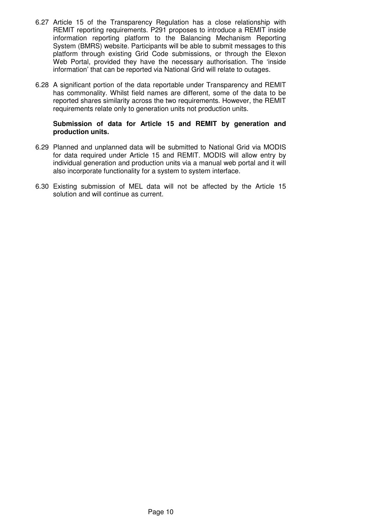- 6.27 Article 15 of the Transparency Regulation has a close relationship with REMIT reporting requirements. P291 proposes to introduce a REMIT inside information reporting platform to the Balancing Mechanism Reporting System (BMRS) website. Participants will be able to submit messages to this platform through existing Grid Code submissions, or through the Elexon Web Portal, provided they have the necessary authorisation. The 'inside information' that can be reported via National Grid will relate to outages.
- 6.28 A significant portion of the data reportable under Transparency and REMIT has commonality. Whilst field names are different, some of the data to be reported shares similarity across the two requirements. However, the REMIT requirements relate only to generation units not production units.

#### **Submission of data for Article 15 and REMIT by generation and production units.**

- 6.29 Planned and unplanned data will be submitted to National Grid via MODIS for data required under Article 15 and REMIT. MODIS will allow entry by individual generation and production units via a manual web portal and it will also incorporate functionality for a system to system interface.
- 6.30 Existing submission of MEL data will not be affected by the Article 15 solution and will continue as current.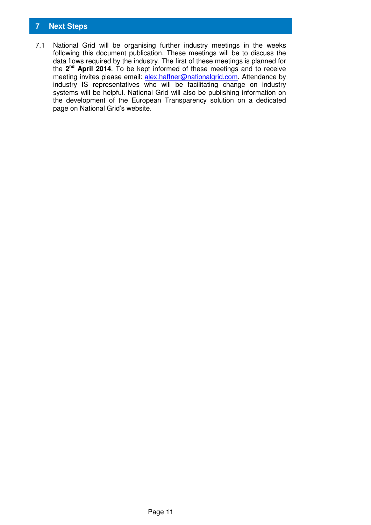# **7 Next Steps**

7.1 National Grid will be organising further industry meetings in the weeks following this document publication. These meetings will be to discuss the data flows required by the industry. The first of these meetings is planned for the **2 nd April 2014**. To be kept informed of these meetings and to receive meeting invites please email: alex.haffner@nationalgrid.com. Attendance by industry IS representatives who will be facilitating change on industry systems will be helpful. National Grid will also be publishing information on the development of the European Transparency solution on a dedicated page on National Grid's website.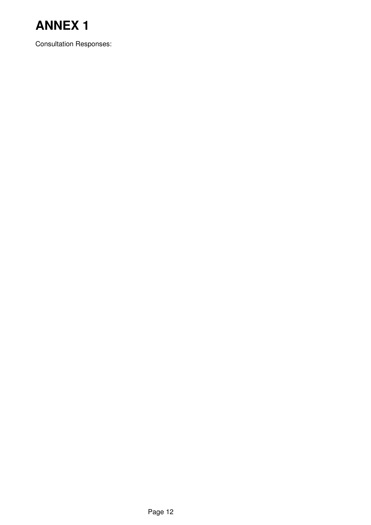

Consultation Responses: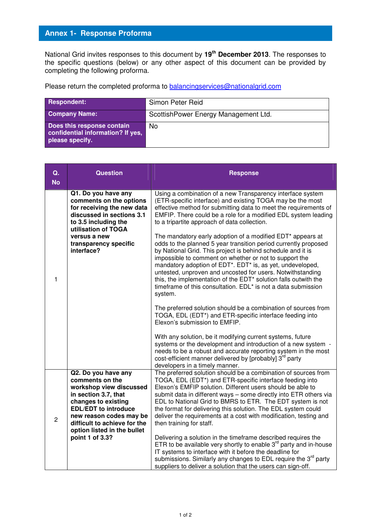National Grid invites responses to this document by **19th December 2013**. The responses to the specific questions (below) or any other aspect of this document can be provided by completing the following proforma.

| Respondent:                                                                        | Simon Peter Reid                     |
|------------------------------------------------------------------------------------|--------------------------------------|
| <b>Company Name:</b>                                                               | ScottishPower Energy Management Ltd. |
| Does this response contain<br>confidential information? If yes,<br>please specify. | No                                   |

| Q.<br><b>No</b> | <b>Question</b>                                                                                                                                                                                                                                              | <b>Response</b>                                                                                                                                                                                                                                                                                                                                                                                                                                                                                                                                                                                                                                                                                                                                                                                                                                                                                                                                                                                                                                                                                                                                                                                                                                                                                                 |
|-----------------|--------------------------------------------------------------------------------------------------------------------------------------------------------------------------------------------------------------------------------------------------------------|-----------------------------------------------------------------------------------------------------------------------------------------------------------------------------------------------------------------------------------------------------------------------------------------------------------------------------------------------------------------------------------------------------------------------------------------------------------------------------------------------------------------------------------------------------------------------------------------------------------------------------------------------------------------------------------------------------------------------------------------------------------------------------------------------------------------------------------------------------------------------------------------------------------------------------------------------------------------------------------------------------------------------------------------------------------------------------------------------------------------------------------------------------------------------------------------------------------------------------------------------------------------------------------------------------------------|
| 1               | Q1. Do you have any<br>comments on the options<br>for receiving the new data<br>discussed in sections 3.1<br>to 3.5 including the<br>utilisation of TOGA<br>versus a new<br>transparency specific<br>interface?                                              | Using a combination of a new Transparency interface system<br>(ETR-specific interface) and existing TOGA may be the most<br>effective method for submitting data to meet the requirements of<br>EMFIP. There could be a role for a modified EDL system leading<br>to a tripartite approach of data collection.<br>The mandatory early adoption of a modified EDT* appears at<br>odds to the planned 5 year transition period currently proposed<br>by National Grid. This project is behind schedule and it is<br>impossible to comment on whether or not to support the<br>mandatory adoption of EDT*. EDT* is, as yet, undeveloped,<br>untested, unproven and uncosted for users. Notwithstanding<br>this, the implementation of the EDT* solution falls outwith the<br>timeframe of this consultation. EDL* is not a data submission<br>system.<br>The preferred solution should be a combination of sources from<br>TOGA, EDL (EDT*) and ETR-specific interface feeding into<br>Elexon's submission to EMFIP.<br>With any solution, be it modifying current systems, future<br>systems or the development and introduction of a new system -<br>needs to be a robust and accurate reporting system in the most<br>cost-efficient manner delivered by [probably] 3rd party<br>developers in a timely manner. |
| 2               | Q2. Do you have any<br>comments on the<br>workshop view discussed<br>in section 3.7, that<br>changes to existing<br><b>EDL/EDT</b> to introduce<br>new reason codes may be<br>difficult to achieve for the<br>option listed in the bullet<br>point 1 of 3.3? | The preferred solution should be a combination of sources from<br>TOGA, EDL (EDT*) and ETR-specific interface feeding into<br>Elexon's EMFIP solution. Different users should be able to<br>submit data in different ways - some directly into ETR others via<br>EDL to National Grid to BMRS to ETR. The EDT system is not<br>the format for delivering this solution. The EDL system could<br>deliver the requirements at a cost with modification, testing and<br>then training for staff.<br>Delivering a solution in the timeframe described requires the<br>ETR to be available very shortly to enable $3rd$ party and in-house<br>IT systems to interface with it before the deadline for<br>submissions. Similarly any changes to EDL require the 3 <sup>rd</sup> party<br>suppliers to deliver a solution that the users can sign-off.                                                                                                                                                                                                                                                                                                                                                                                                                                                                 |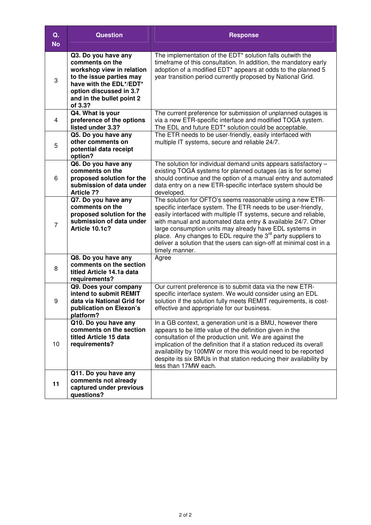| Q.<br><b>No</b> | <b>Question</b>                                                                                                                                                                               | <b>Response</b>                                                                                                                                                                                                                                                                                                                                                                                                                                                                                |
|-----------------|-----------------------------------------------------------------------------------------------------------------------------------------------------------------------------------------------|------------------------------------------------------------------------------------------------------------------------------------------------------------------------------------------------------------------------------------------------------------------------------------------------------------------------------------------------------------------------------------------------------------------------------------------------------------------------------------------------|
| 3               | Q3. Do you have any<br>comments on the<br>workshop view in relation<br>to the issue parties may<br>have with the EDL*/EDT*<br>option discussed in 3.7<br>and in the bullet point 2<br>of 3.3? | The implementation of the EDT* solution falls outwith the<br>timeframe of this consultation. In addition, the mandatory early<br>adoption of a modified EDT* appears at odds to the planned 5<br>year transition period currently proposed by National Grid.                                                                                                                                                                                                                                   |
| 4               | Q4. What is your<br>preference of the options<br>listed under 3.3?                                                                                                                            | The current preference for submission of unplanned outages is<br>via a new ETR-specific interface and modified TOGA system.<br>The EDL and future EDT* solution could be acceptable.                                                                                                                                                                                                                                                                                                           |
| 5               | Q5. Do you have any<br>other comments on<br>potential data receipt<br>option?                                                                                                                 | The ETR needs to be user-friendly, easily interfaced with<br>multiple IT systems, secure and reliable 24/7.                                                                                                                                                                                                                                                                                                                                                                                    |
| 6               | Q6. Do you have any<br>comments on the<br>proposed solution for the<br>submission of data under<br><b>Article 7?</b>                                                                          | The solution for individual demand units appears satisfactory -<br>existing TOGA systems for planned outages (as is for some)<br>should continue and the option of a manual entry and automated<br>data entry on a new ETR-specific interface system should be<br>developed.                                                                                                                                                                                                                   |
| $\overline{7}$  | Q7. Do you have any<br>comments on the<br>proposed solution for the<br>submission of data under<br>Article 10.1c?                                                                             | The solution for OFTO's seems reasonable using a new ETR-<br>specific interface system. The ETR needs to be user-friendly,<br>easily interfaced with multiple IT systems, secure and reliable,<br>with manual and automated data entry & available 24/7. Other<br>large consumption units may already have EDL systems in<br>place. Any changes to EDL require the 3 <sup>rd</sup> party suppliers to<br>deliver a solution that the users can sign-off at minimal cost in a<br>timely manner. |
| 8               | Q8. Do you have any<br>comments on the section<br>titled Article 14.1a data<br>requirements?                                                                                                  | Agree                                                                                                                                                                                                                                                                                                                                                                                                                                                                                          |
| 9               | Q9. Does your company<br>intend to submit REMIT<br>data via National Grid for<br>publication on Elexon's<br>platform?                                                                         | Our current preference is to submit data via the new ETR-<br>specific interface system. We would consider using an EDL<br>solution if the solution fully meets REMIT requirements, is cost-<br>effective and appropriate for our business.                                                                                                                                                                                                                                                     |
| 10              | Q10. Do you have any<br>comments on the section<br>titled Article 15 data<br>requirements?                                                                                                    | In a GB context, a generation unit is a BMU, however there<br>appears to be little value of the definition given in the<br>consultation of the production unit. We are against the<br>implication of the definition that if a station reduced its overall<br>availability by 100MW or more this would need to be reported<br>despite its six BMUs in that station reducing their availability by<br>less than 17MW each.                                                                       |
| 11              | Q11. Do you have any<br>comments not already<br>captured under previous<br>questions?                                                                                                         |                                                                                                                                                                                                                                                                                                                                                                                                                                                                                                |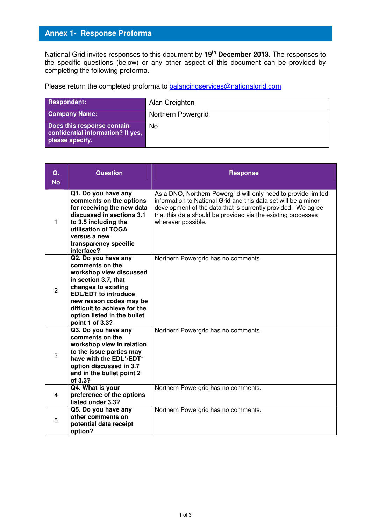National Grid invites responses to this document by **19th December 2013**. The responses to the specific questions (below) or any other aspect of this document can be provided by completing the following proforma.

| Respondent:                                                                        | Alan Creighton     |
|------------------------------------------------------------------------------------|--------------------|
| <b>Company Name:</b>                                                               | Northern Powergrid |
| Does this response contain<br>confidential information? If yes,<br>please specify. | No                 |

| Q.<br><b>No</b> | <b>Question</b>                                                                                                                                                                                                                                              | <b>Response</b>                                                                                                                                                                                                                                                                        |
|-----------------|--------------------------------------------------------------------------------------------------------------------------------------------------------------------------------------------------------------------------------------------------------------|----------------------------------------------------------------------------------------------------------------------------------------------------------------------------------------------------------------------------------------------------------------------------------------|
| 1               | Q1. Do you have any<br>comments on the options<br>for receiving the new data<br>discussed in sections 3.1<br>to 3.5 including the<br>utilisation of TOGA<br>versus a new<br>transparency specific<br>interface?                                              | As a DNO, Northern Powergrid will only need to provide limited<br>information to National Grid and this data set will be a minor<br>development of the data that is currently provided. We agree<br>that this data should be provided via the existing processes<br>wherever possible. |
| $\mathcal{P}$   | Q2. Do you have any<br>comments on the<br>workshop view discussed<br>in section 3.7, that<br>changes to existing<br><b>EDL/EDT</b> to introduce<br>new reason codes may be<br>difficult to achieve for the<br>option listed in the bullet<br>point 1 of 3.3? | Northern Powergrid has no comments.                                                                                                                                                                                                                                                    |
| 3               | Q3. Do you have any<br>comments on the<br>workshop view in relation<br>to the issue parties may<br>have with the EDL*/EDT*<br>option discussed in 3.7<br>and in the bullet point 2<br>of 3.3?                                                                | Northern Powergrid has no comments.                                                                                                                                                                                                                                                    |
| 4               | Q4. What is your<br>preference of the options<br>listed under 3.3?                                                                                                                                                                                           | Northern Powergrid has no comments.                                                                                                                                                                                                                                                    |
| 5               | Q5. Do you have any<br>other comments on<br>potential data receipt<br>option?                                                                                                                                                                                | Northern Powergrid has no comments.                                                                                                                                                                                                                                                    |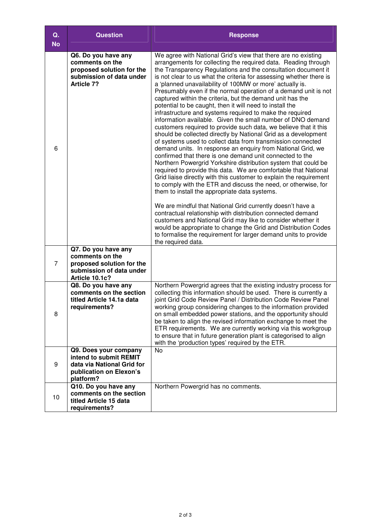| Q.<br><b>No</b> | <b>Question</b>                                                                                                       | <b>Response</b>                                                                                                                                                                                                                                                                                                                                                                                                                                                                                                                                                                                                                                                                                                                                                                                                                                                                                                                                                                                                                                                                                                                                                                                                                                                                                                                                                                                                                                                                                                                                                                                                                                           |
|-----------------|-----------------------------------------------------------------------------------------------------------------------|-----------------------------------------------------------------------------------------------------------------------------------------------------------------------------------------------------------------------------------------------------------------------------------------------------------------------------------------------------------------------------------------------------------------------------------------------------------------------------------------------------------------------------------------------------------------------------------------------------------------------------------------------------------------------------------------------------------------------------------------------------------------------------------------------------------------------------------------------------------------------------------------------------------------------------------------------------------------------------------------------------------------------------------------------------------------------------------------------------------------------------------------------------------------------------------------------------------------------------------------------------------------------------------------------------------------------------------------------------------------------------------------------------------------------------------------------------------------------------------------------------------------------------------------------------------------------------------------------------------------------------------------------------------|
| 6               | Q6. Do you have any<br>comments on the<br>proposed solution for the<br>submission of data under<br><b>Article 7?</b>  | We agree with National Grid's view that there are no existing<br>arrangements for collecting the required data. Reading through<br>the Transparency Regulations and the consultation document it<br>is not clear to us what the criteria for assessing whether there is<br>a 'planned unavailability of 100MW or more' actually is.<br>Presumably even if the normal operation of a demand unit is not<br>captured within the criteria, but the demand unit has the<br>potential to be caught, then it will need to install the<br>infrastructure and systems required to make the required<br>information available. Given the small number of DNO demand<br>customers required to provide such data, we believe that it this<br>should be collected directly by National Grid as a development<br>of systems used to collect data from transmission connected<br>demand units. In response an enquiry from National Grid, we<br>confirmed that there is one demand unit connected to the<br>Northern Powergrid Yorkshire distribution system that could be<br>required to provide this data. We are comfortable that National<br>Grid liaise directly with this customer to explain the requirement<br>to comply with the ETR and discuss the need, or otherwise, for<br>them to install the appropriate data systems.<br>We are mindful that National Grid currently doesn't have a<br>contractual relationship with distribution connected demand<br>customers and National Grid may like to consider whether it<br>would be appropriate to change the Grid and Distribution Codes<br>to formalise the requirement for larger demand units to provide |
| 7               | Q7. Do you have any<br>comments on the<br>proposed solution for the<br>submission of data under<br>Article 10.1c?     | the required data.                                                                                                                                                                                                                                                                                                                                                                                                                                                                                                                                                                                                                                                                                                                                                                                                                                                                                                                                                                                                                                                                                                                                                                                                                                                                                                                                                                                                                                                                                                                                                                                                                                        |
| 8               | Q8. Do you have any<br>comments on the section<br>titled Article 14.1a data<br>requirements?                          | Northern Powergrid agrees that the existing industry process for<br>collecting this information should be used. There is currently a<br>joint Grid Code Review Panel / Distribution Code Review Panel<br>working group considering changes to the information provided<br>on small embedded power stations, and the opportunity should<br>be taken to align the revised information exchange to meet the<br>ETR requirements. We are currently working via this workgroup<br>to ensure that in future generation plant is categorised to align<br>with the 'production types' required by the ETR.                                                                                                                                                                                                                                                                                                                                                                                                                                                                                                                                                                                                                                                                                                                                                                                                                                                                                                                                                                                                                                                        |
| 9               | Q9. Does your company<br>intend to submit REMIT<br>data via National Grid for<br>publication on Elexon's<br>platform? | <b>No</b>                                                                                                                                                                                                                                                                                                                                                                                                                                                                                                                                                                                                                                                                                                                                                                                                                                                                                                                                                                                                                                                                                                                                                                                                                                                                                                                                                                                                                                                                                                                                                                                                                                                 |
| 10              | Q10. Do you have any<br>comments on the section<br>titled Article 15 data<br>requirements?                            | Northern Powergrid has no comments.                                                                                                                                                                                                                                                                                                                                                                                                                                                                                                                                                                                                                                                                                                                                                                                                                                                                                                                                                                                                                                                                                                                                                                                                                                                                                                                                                                                                                                                                                                                                                                                                                       |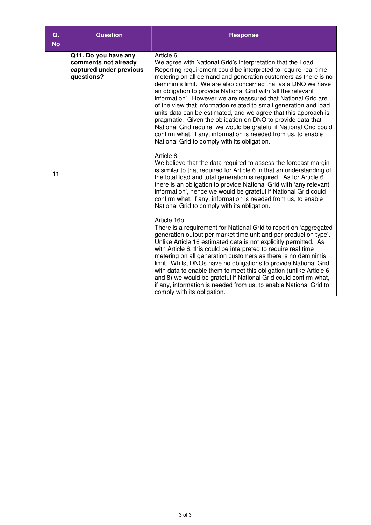| Q.<br><b>No</b> | <b>Question</b>                                                                       | <b>Response</b>                                                                                                                                                                                                                                                                                                                                                                                                                                                                                                                                                                                                                                                                                                                                                                                                                                                                                                                                                                                                                                                                                                                                                                                                                                                                                                                                                                                                                                                                                                                                                                                                                                                                                                                                                                                                                                                                    |
|-----------------|---------------------------------------------------------------------------------------|------------------------------------------------------------------------------------------------------------------------------------------------------------------------------------------------------------------------------------------------------------------------------------------------------------------------------------------------------------------------------------------------------------------------------------------------------------------------------------------------------------------------------------------------------------------------------------------------------------------------------------------------------------------------------------------------------------------------------------------------------------------------------------------------------------------------------------------------------------------------------------------------------------------------------------------------------------------------------------------------------------------------------------------------------------------------------------------------------------------------------------------------------------------------------------------------------------------------------------------------------------------------------------------------------------------------------------------------------------------------------------------------------------------------------------------------------------------------------------------------------------------------------------------------------------------------------------------------------------------------------------------------------------------------------------------------------------------------------------------------------------------------------------------------------------------------------------------------------------------------------------|
| 11              | Q11. Do you have any<br>comments not already<br>captured under previous<br>questions? | Article 6<br>We agree with National Grid's interpretation that the Load<br>Reporting requirement could be interpreted to require real time<br>metering on all demand and generation customers as there is no<br>deminimis limit. We are also concerned that as a DNO we have<br>an obligation to provide National Grid with 'all the relevant<br>information'. However we are reassured that National Grid are<br>of the view that information related to small generation and load<br>units data can be estimated, and we agree that this approach is<br>pragmatic. Given the obligation on DNO to provide data that<br>National Grid require, we would be grateful if National Grid could<br>confirm what, if any, information is needed from us, to enable<br>National Grid to comply with its obligation.<br>Article 8<br>We believe that the data required to assess the forecast margin<br>is similar to that required for Article 6 in that an understanding of<br>the total load and total generation is required. As for Article 6<br>there is an obligation to provide National Grid with 'any relevant<br>information', hence we would be grateful if National Grid could<br>confirm what, if any, information is needed from us, to enable<br>National Grid to comply with its obligation.<br>Article 16b<br>There is a requirement for National Grid to report on 'aggregated<br>generation output per market time unit and per production type'.<br>Unlike Article 16 estimated data is not explicitly permitted. As<br>with Article 6, this could be interpreted to require real time<br>metering on all generation customers as there is no deminimis<br>limit. Whilst DNOs have no obligations to provide National Grid<br>with data to enable them to meet this obligation (unlike Article 6<br>and 8) we would be grateful if National Grid could confirm what, |
|                 |                                                                                       | if any, information is needed from us, to enable National Grid to<br>comply with its obligation.                                                                                                                                                                                                                                                                                                                                                                                                                                                                                                                                                                                                                                                                                                                                                                                                                                                                                                                                                                                                                                                                                                                                                                                                                                                                                                                                                                                                                                                                                                                                                                                                                                                                                                                                                                                   |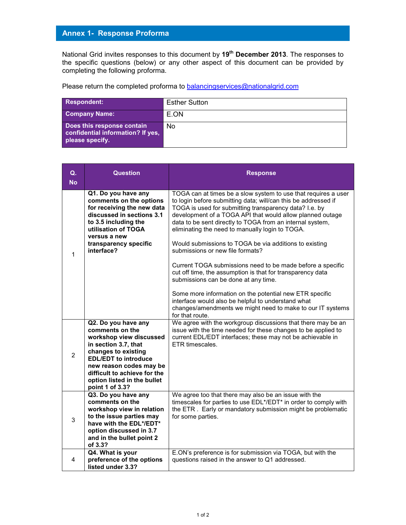National Grid invites responses to this document by **19th December 2013**. The responses to the specific questions (below) or any other aspect of this document can be provided by completing the following proforma.

| <b>Respondent:</b>                                                                 | <b>Esther Sutton</b> |
|------------------------------------------------------------------------------------|----------------------|
| <b>Company Name:</b>                                                               | E.ON                 |
| Does this response contain<br>confidential information? If yes,<br>please specify. | No                   |

| Q.<br><b>No</b> | <b>Question</b>                                                                                                                                                                                                                                              | <b>Response</b>                                                                                                                                                                                                                                                                                                                                                                                                                                                                                                                                                                                                                                                                                                                                                                                                                             |
|-----------------|--------------------------------------------------------------------------------------------------------------------------------------------------------------------------------------------------------------------------------------------------------------|---------------------------------------------------------------------------------------------------------------------------------------------------------------------------------------------------------------------------------------------------------------------------------------------------------------------------------------------------------------------------------------------------------------------------------------------------------------------------------------------------------------------------------------------------------------------------------------------------------------------------------------------------------------------------------------------------------------------------------------------------------------------------------------------------------------------------------------------|
| 1               | Q1. Do you have any<br>comments on the options<br>for receiving the new data<br>discussed in sections 3.1<br>to 3.5 including the<br>utilisation of TOGA<br>versus a new<br>transparency specific<br>interface?                                              | TOGA can at times be a slow system to use that requires a user<br>to login before submitting data; will/can this be addressed if<br>TOGA is used for submitting transparency data? I.e. by<br>development of a TOGA API that would allow planned outage<br>data to be sent directly to TOGA from an internal system,<br>eliminating the need to manually login to TOGA.<br>Would submissions to TOGA be via additions to existing<br>submissions or new file formats?<br>Current TOGA submissions need to be made before a specific<br>cut off time, the assumption is that for transparency data<br>submissions can be done at any time.<br>Some more information on the potential new ETR specific<br>interface would also be helpful to understand what<br>changes/amendments we might need to make to our IT systems<br>for that route. |
| 2               | Q2. Do you have any<br>comments on the<br>workshop view discussed<br>in section 3.7, that<br>changes to existing<br><b>EDL/EDT</b> to introduce<br>new reason codes may be<br>difficult to achieve for the<br>option listed in the bullet<br>point 1 of 3.3? | We agree with the workgroup discussions that there may be an<br>issue with the time needed for these changes to be applied to<br>current EDL/EDT interfaces; these may not be achievable in<br>ETR timescales.                                                                                                                                                                                                                                                                                                                                                                                                                                                                                                                                                                                                                              |
| 3               | Q3. Do you have any<br>comments on the<br>workshop view in relation<br>to the issue parties may<br>have with the EDL*/EDT*<br>option discussed in 3.7<br>and in the bullet point 2<br>of 3.3?                                                                | We agree too that there may also be an issue with the<br>timescales for parties to use EDL*/EDT* in order to comply with<br>the ETR. Early or mandatory submission might be problematic<br>for some parties.                                                                                                                                                                                                                                                                                                                                                                                                                                                                                                                                                                                                                                |
| 4               | Q4. What is your<br>preference of the options<br>listed under 3.3?                                                                                                                                                                                           | E.ON's preference is for submission via TOGA, but with the<br>questions raised in the answer to Q1 addressed.                                                                                                                                                                                                                                                                                                                                                                                                                                                                                                                                                                                                                                                                                                                               |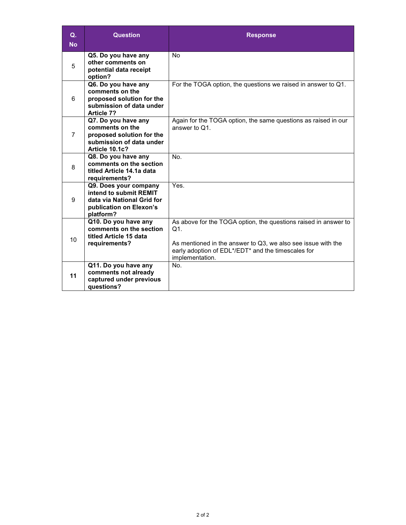| Q.<br><b>No</b> | <b>Question</b>                                                                                                       | <b>Response</b>                                                                                                                                                                                                    |
|-----------------|-----------------------------------------------------------------------------------------------------------------------|--------------------------------------------------------------------------------------------------------------------------------------------------------------------------------------------------------------------|
| 5               | Q5. Do you have any<br>other comments on<br>potential data receipt<br>option?                                         | <b>No</b>                                                                                                                                                                                                          |
| 6               | Q6. Do you have any<br>comments on the<br>proposed solution for the<br>submission of data under<br>Article 7?         | For the TOGA option, the questions we raised in answer to Q1.                                                                                                                                                      |
| $\overline{7}$  | Q7. Do you have any<br>comments on the<br>proposed solution for the<br>submission of data under<br>Article 10.1c?     | Again for the TOGA option, the same questions as raised in our<br>answer to Q1.                                                                                                                                    |
| 8               | Q8. Do you have any<br>comments on the section<br>titled Article 14.1a data<br>requirements?                          | No.                                                                                                                                                                                                                |
| 9               | Q9. Does your company<br>intend to submit REMIT<br>data via National Grid for<br>publication on Elexon's<br>platform? | Yes.                                                                                                                                                                                                               |
| 10              | Q10. Do you have any<br>comments on the section<br>titled Article 15 data<br>requirements?                            | As above for the TOGA option, the questions raised in answer to<br>$Q1$ .<br>As mentioned in the answer to Q3, we also see issue with the<br>early adoption of EDL*/EDT* and the timescales for<br>implementation. |
| 11              | Q11. Do you have any<br>comments not already<br>captured under previous<br>questions?                                 | No.                                                                                                                                                                                                                |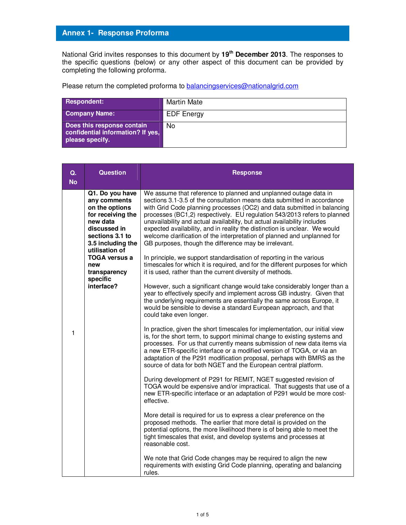National Grid invites responses to this document by **19th December 2013**. The responses to the specific questions (below) or any other aspect of this document can be provided by completing the following proforma.

| Respondent:                                                                        | Martin Mate       |
|------------------------------------------------------------------------------------|-------------------|
| <b>Company Name:</b>                                                               | <b>EDF</b> Energy |
| Does this response contain<br>confidential information? If yes,<br>please specify. | N <sub>0</sub>    |

| Q.<br><b>No</b> | <b>Question</b>                                                                                                                                              | <b>Response</b>                                                                                                                                                                                                                                                                                                                                                                                                                                                                                                                                                                                   |
|-----------------|--------------------------------------------------------------------------------------------------------------------------------------------------------------|---------------------------------------------------------------------------------------------------------------------------------------------------------------------------------------------------------------------------------------------------------------------------------------------------------------------------------------------------------------------------------------------------------------------------------------------------------------------------------------------------------------------------------------------------------------------------------------------------|
|                 | Q1. Do you have<br>any comments<br>on the options<br>for receiving the<br>new data<br>discussed in<br>sections 3.1 to<br>3.5 including the<br>utilisation of | We assume that reference to planned and unplanned outage data in<br>sections 3.1-3.5 of the consultation means data submitted in accordance<br>with Grid Code planning processes (OC2) and data submitted in balancing<br>processes (BC1,2) respectively. EU regulation 543/2013 refers to planned<br>unavailability and actual availability, but actual availability includes<br>expected availability, and in reality the distinction is unclear. We would<br>welcome clarification of the interpretation of planned and unplanned for<br>GB purposes, though the difference may be irrelevant. |
|                 | <b>TOGA versus a</b><br>new<br>transparency<br>specific                                                                                                      | In principle, we support standardisation of reporting in the various<br>timescales for which it is required, and for the different purposes for which<br>it is used, rather than the current diversity of methods.                                                                                                                                                                                                                                                                                                                                                                                |
|                 | interface?                                                                                                                                                   | However, such a significant change would take considerably longer than a<br>year to effectively specify and implement across GB industry. Given that<br>the underlying requirements are essentially the same across Europe, it<br>would be sensible to devise a standard European approach, and that<br>could take even longer.                                                                                                                                                                                                                                                                   |
| 1               |                                                                                                                                                              | In practice, given the short timescales for implementation, our initial view<br>is, for the short term, to support minimal change to existing systems and<br>processes. For us that currently means submission of new data items via<br>a new ETR-specific interface or a modified version of TOGA, or via an<br>adaptation of the P291 modification proposal, perhaps with BMRS as the<br>source of data for both NGET and the European central platform.                                                                                                                                        |
|                 |                                                                                                                                                              | During development of P291 for REMIT, NGET suggested revision of<br>TOGA would be expensive and/or impractical. That suggests that use of a<br>new ETR-specific interface or an adaptation of P291 would be more cost-<br>effective.                                                                                                                                                                                                                                                                                                                                                              |
|                 |                                                                                                                                                              | More detail is required for us to express a clear preference on the<br>proposed methods. The earlier that more detail is provided on the<br>potential options, the more likelihood there is of being able to meet the<br>tight timescales that exist, and develop systems and processes at<br>reasonable cost.                                                                                                                                                                                                                                                                                    |
|                 |                                                                                                                                                              | We note that Grid Code changes may be required to align the new<br>requirements with existing Grid Code planning, operating and balancing<br>rules.                                                                                                                                                                                                                                                                                                                                                                                                                                               |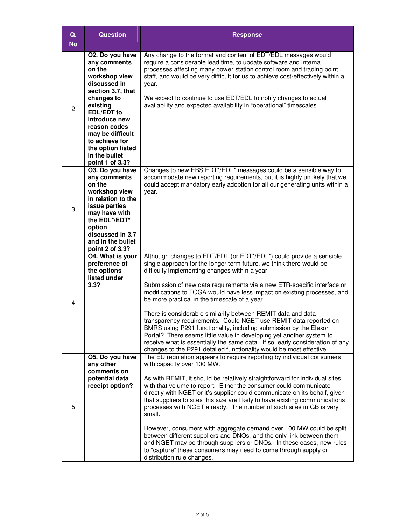| Q.<br><b>No</b>                                                                                                                                                                                                         | Question                                                                                                                                                                                                                                                                       | <b>Response</b>                                                                                                                                                                                                                                                                                                                                                                                                                                                                                                                                                                                                                                                                                                                                                                                                                             |
|-------------------------------------------------------------------------------------------------------------------------------------------------------------------------------------------------------------------------|--------------------------------------------------------------------------------------------------------------------------------------------------------------------------------------------------------------------------------------------------------------------------------|---------------------------------------------------------------------------------------------------------------------------------------------------------------------------------------------------------------------------------------------------------------------------------------------------------------------------------------------------------------------------------------------------------------------------------------------------------------------------------------------------------------------------------------------------------------------------------------------------------------------------------------------------------------------------------------------------------------------------------------------------------------------------------------------------------------------------------------------|
| $\overline{2}$                                                                                                                                                                                                          | Q2. Do you have<br>any comments<br>on the<br>workshop view<br>discussed in<br>section 3.7, that<br>changes to<br>existing<br><b>EDL/EDT</b> to<br>introduce new<br>reason codes<br>may be difficult<br>to achieve for<br>the option listed<br>in the bullet<br>point 1 of 3.3? | Any change to the format and content of EDT/EDL messages would<br>require a considerable lead time, to update software and internal<br>processes affecting many power station control room and trading point<br>staff, and would be very difficult for us to achieve cost-effectively within a<br>year.<br>We expect to continue to use EDT/EDL to notify changes to actual<br>availability and expected availability in "operational" timescales.                                                                                                                                                                                                                                                                                                                                                                                          |
| Q3. Do you have<br>any comments<br>on the<br>workshop view<br>year.<br>in relation to the<br>issue parties<br>3<br>may have with<br>the EDL*/EDT*<br>option<br>discussed in 3.7<br>and in the bullet<br>point 2 of 3.3? |                                                                                                                                                                                                                                                                                | Changes to new EBS EDT*/EDL* messages could be a sensible way to<br>accommodate new reporting requirements, but it is highly unlikely that we<br>could accept mandatory early adoption for all our generating units within a                                                                                                                                                                                                                                                                                                                                                                                                                                                                                                                                                                                                                |
| 4                                                                                                                                                                                                                       | Q4. What is your<br>preference of<br>the options<br>listed under<br>3.3?                                                                                                                                                                                                       | Although changes to EDT/EDL (or EDT*/EDL*) could provide a sensible<br>single approach for the longer term future, we think there would be<br>difficulty implementing changes within a year.<br>Submission of new data requirements via a new ETR-specific interface or<br>modifications to TOGA would have less impact on existing processes, and<br>be more practical in the timescale of a year.<br>There is considerable similarity between REMIT data and data<br>transparency requirements. Could NGET use REMIT data reported on<br>BMRS using P291 functionality, including submission by the Elexon<br>Portal? There seems little value in developing yet another system to<br>receive what is essentially the same data. If so, early consideration of any<br>changes to the P291 detailed functionality would be most effective. |
| 5                                                                                                                                                                                                                       | Q5. Do you have<br>any other<br>comments on<br>potential data<br>receipt option?                                                                                                                                                                                               | The EU regulation appears to require reporting by individual consumers<br>with capacity over 100 MW.<br>As with REMIT, it should be relatively straightforward for individual sites<br>with that volume to report. Either the consumer could communicate<br>directly with NGET or it's supplier could communicate on its behalf, given<br>that suppliers to sites this size are likely to have existing communications<br>processes with NGET already. The number of such sites in GB is very<br>small.<br>However, consumers with aggregate demand over 100 MW could be split<br>between different suppliers and DNOs, and the only link between them<br>and NGET may be through suppliers or DNOs. In these cases, new rules<br>to "capture" these consumers may need to come through supply or<br>distribution rule changes.             |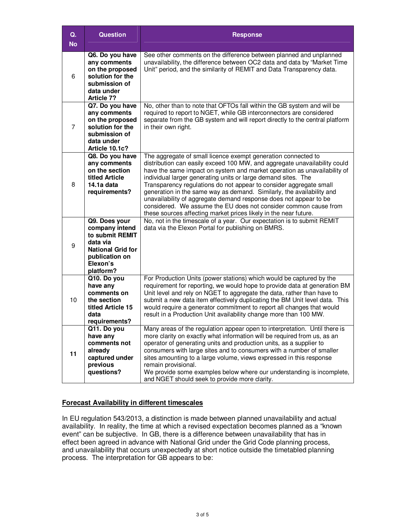| $Q_{\star}$<br><b>No</b> | <b>Question</b>                                                                                                                       | <b>Response</b>                                                                                                                                                                                                                                                                                                                                                                                                                                                                                                                                                                                                                                     |
|--------------------------|---------------------------------------------------------------------------------------------------------------------------------------|-----------------------------------------------------------------------------------------------------------------------------------------------------------------------------------------------------------------------------------------------------------------------------------------------------------------------------------------------------------------------------------------------------------------------------------------------------------------------------------------------------------------------------------------------------------------------------------------------------------------------------------------------------|
| 6                        | Q6. Do you have<br>any comments<br>on the proposed<br>solution for the<br>submission of<br>data under<br><b>Article 7?</b>            | See other comments on the difference between planned and unplanned<br>unavailability, the difference between OC2 data and data by "Market Time<br>Unit" period, and the similarity of REMIT and Data Transparency data.                                                                                                                                                                                                                                                                                                                                                                                                                             |
| $\overline{7}$           | Q7. Do you have<br>any comments<br>on the proposed<br>solution for the<br>submission of<br>data under<br>Article 10.1c?               | No, other than to note that OFTOs fall within the GB system and will be<br>required to report to NGET, while GB interconnectors are considered<br>separate from the GB system and will report directly to the central platform<br>in their own right.                                                                                                                                                                                                                                                                                                                                                                                               |
| 8                        | Q8. Do you have<br>any comments<br>on the section<br>titled Article<br>14.1a data<br>requirements?                                    | The aggregate of small licence exempt generation connected to<br>distribution can easily exceed 100 MW, and aggregate unavailability could<br>have the same impact on system and market operation as unavailability of<br>individual larger generating units or large demand sites. The<br>Transparency regulations do not appear to consider aggregate small<br>generation in the same way as demand. Similarly, the availability and<br>unavailability of aggregate demand response does not appear to be<br>considered. We assume the EU does not consider common cause from<br>these sources affecting market prices likely in the near future. |
| 9                        | Q9. Does your<br>company intend<br>to submit REMIT<br>data via<br><b>National Grid for</b><br>publication on<br>Elexon's<br>platform? | No, not in the timescale of a year. Our expectation is to submit REMIT<br>data via the Elexon Portal for publishing on BMRS.                                                                                                                                                                                                                                                                                                                                                                                                                                                                                                                        |
| 10                       | Q10. Do you<br>have any<br>comments on<br>the section<br>titled Article 15<br>data<br>requirements?                                   | For Production Units (power stations) which would be captured by the<br>requirement for reporting, we would hope to provide data at generation BM<br>Unit level and rely on NGET to aggregate the data, rather than have to<br>submit a new data item effectively duplicating the BM Unit level data. This<br>would require a generator commitment to report all changes that would<br>result in a Production Unit availability change more than 100 MW.                                                                                                                                                                                            |
| 11                       | Q11. Do you<br>have any<br>comments not<br>already<br>captured under<br>previous<br>questions?                                        | Many areas of the regulation appear open to interpretation. Until there is<br>more clarity on exactly what information will be required from us, as an<br>operator of generating units and production units, as a supplier to<br>consumers with large sites and to consumers with a number of smaller<br>sites amounting to a large volume, views expressed in this response<br>remain provisional.<br>We provide some examples below where our understanding is incomplete,<br>and NGET should seek to provide more clarity.                                                                                                                       |

#### **Forecast Availability in different timescales**

In EU regulation 543/2013, a distinction is made between planned unavailability and actual availability. In reality, the time at which a revised expectation becomes planned as a "known event" can be subjective. In GB, there is a difference between unavailability that has in effect been agreed in advance with National Grid under the Grid Code planning process, and unavailability that occurs unexpectedly at short notice outside the timetabled planning process. The interpretation for GB appears to be: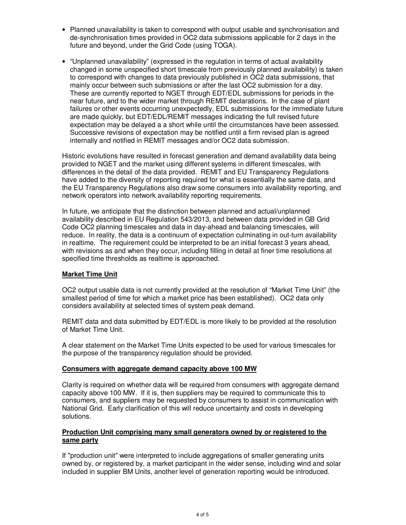- Planned unavailability is taken to correspond with output usable and synchronisation and de-synchronisation times provided in OC2 data submissions applicable for 2 days in the future and beyond, under the Grid Code (using TOGA).
- "Unplanned unavailability" (expressed in the regulation in terms of actual availability changed in some unspecified short timescale from previously planned availability) is taken to correspond with changes to data previously published in OC2 data submissions, that mainly occur between such submissions or after the last OC2 submission for a day. These are currently reported to NGET through EDT/EDL submissions for periods in the near future, and to the wider market through REMIT declarations. In the case of plant failures or other events occurring unexpectedly, EDL submissions for the immediate future are made quickly, but EDT/EDL/REMIT messages indicating the full revised future expectation may be delayed a a short while until the circumstances have been assessed. Successive revisions of expectation may be notified until a firm revised plan is agreed internally and notified in REMIT messages and/or OC2 data submission.

Historic evolutions have resulted in forecast generation and demand availability data being provided to NGET and the market using different systems in different timescales, with differences in the detail of the data provided. REMIT and EU Transparency Regulations have added to the diversity of reporting required for what is essentially the same data, and the EU Transparency Regulations also draw some consumers into availability reporting, and network operators into network availability reporting requirements.

In future, we anticipate that the distinction between planned and actual/unplanned availability described in EU Regulation 543/2013, and between data provided in GB Grid Code OC2 planning timescales and data in day-ahead and balancing timescales, will reduce. In reality, the data is a continuum of expectation culminating in out-turn availability in realtime. The requirement could be interpreted to be an initial forecast 3 years ahead, with revisions as and when they occur, including filling in detail at finer time resolutions at specified time thresholds as realtime is approached.

#### **Market Time Unit**

OC2 output usable data is not currently provided at the resolution of "Market Time Unit" (the smallest period of time for which a market price has been established). OC2 data only considers availability at selected times of system peak demand.

REMIT data and data submitted by EDT/EDL is more likely to be provided at the resolution of Market Time Unit.

A clear statement on the Market Time Units expected to be used for various timescales for the purpose of the transparency regulation should be provided.

#### **Consumers with aggregate demand capacity above 100 MW**

Clarity is required on whether data will be required from consumers with aggregate demand capacity above 100 MW. If it is, then suppliers may be required to communicate this to consumers, and suppliers may be requested by consumers to assist in communication with National Grid. Early clarification of this will reduce uncertainty and costs in developing solutions.

#### **Production Unit comprising many small generators owned by or registered to the same party**

If "production unit" were interpreted to include aggregations of smaller generating units owned by, or registered by, a market participant in the wider sense, including wind and solar included in supplier BM Units, another level of generation reporting would be introduced.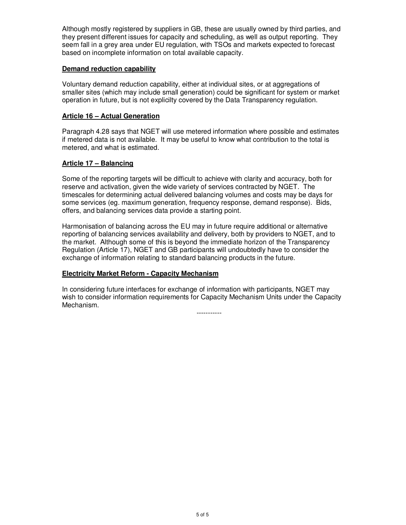Although mostly registered by suppliers in GB, these are usually owned by third parties, and they present different issues for capacity and scheduling, as well as output reporting. They seem fall in a grey area under EU regulation, with TSOs and markets expected to forecast based on incomplete information on total available capacity.

#### **Demand reduction capability**

Voluntary demand reduction capability, either at individual sites, or at aggregations of smaller sites (which may include small generation) could be significant for system or market operation in future, but is not explicilty covered by the Data Transparency regulation.

#### **Article 16 – Actual Generation**

Paragraph 4.28 says that NGET will use metered information where possible and estimates if metered data is not available. It may be useful to know what contribution to the total is metered, and what is estimated.

#### **Article 17 – Balancing**

Some of the reporting targets will be difficult to achieve with clarity and accuracy, both for reserve and activation, given the wide variety of services contracted by NGET. The timescales for determining actual delivered balancing volumes and costs may be days for some services (eg. maximum generation, frequency response, demand response). Bids, offers, and balancing services data provide a starting point.

Harmonisation of balancing across the EU may in future require additional or alternative reporting of balancing services availability and delivery, both by providers to NGET, and to the market. Although some of this is beyond the immediate horizon of the Transparency Regulation (Article 17), NGET and GB participants will undoubtedly have to consider the exchange of information relating to standard balancing products in the future.

#### **Electricity Market Reform - Capacity Mechanism**

In considering future interfaces for exchange of information with participants, NGET may wish to consider information requirements for Capacity Mechanism Units under the Capacity Mechanism.

-----------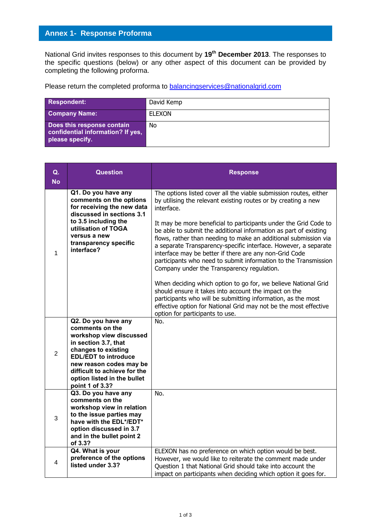National Grid invites responses to this document by **19 th December 2013**. The responses to the specific questions (below) or any other aspect of this document can be provided by completing the following proforma.

Please return the completed proforma to [balancingservices@nationalgrid.com](mailto:balancingservices@nationalgrid.com)

| Respondent:                                                                        | David Kemp    |
|------------------------------------------------------------------------------------|---------------|
| <b>Company Name:</b>                                                               | <b>ELEXON</b> |
| Does this response contain<br>confidential information? If yes,<br>please specify. | No            |

| Q.<br><b>No</b> | <b>Question</b>                                                                                                                                                                                                                                              | <b>Response</b>                                                                                                                                                                                                                                                                                                                                                                                                                                                                                                                                                                                                                                                                                                                                                                                                                                                                                              |
|-----------------|--------------------------------------------------------------------------------------------------------------------------------------------------------------------------------------------------------------------------------------------------------------|--------------------------------------------------------------------------------------------------------------------------------------------------------------------------------------------------------------------------------------------------------------------------------------------------------------------------------------------------------------------------------------------------------------------------------------------------------------------------------------------------------------------------------------------------------------------------------------------------------------------------------------------------------------------------------------------------------------------------------------------------------------------------------------------------------------------------------------------------------------------------------------------------------------|
| 1               | Q1. Do you have any<br>comments on the options<br>for receiving the new data<br>discussed in sections 3.1<br>to 3.5 including the<br>utilisation of TOGA<br>versus a new<br>transparency specific<br>interface?                                              | The options listed cover all the viable submission routes, either<br>by utilising the relevant existing routes or by creating a new<br>interface.<br>It may be more beneficial to participants under the Grid Code to<br>be able to submit the additional information as part of existing<br>flows, rather than needing to make an additional submission via<br>a separate Transparency-specific interface. However, a separate<br>interface may be better if there are any non-Grid Code<br>participants who need to submit information to the Transmission<br>Company under the Transparency regulation.<br>When deciding which option to go for, we believe National Grid<br>should ensure it takes into account the impact on the<br>participants who will be submitting information, as the most<br>effective option for National Grid may not be the most effective<br>option for participants to use. |
| $\overline{2}$  | Q2. Do you have any<br>comments on the<br>workshop view discussed<br>in section 3.7, that<br>changes to existing<br><b>EDL/EDT</b> to introduce<br>new reason codes may be<br>difficult to achieve for the<br>option listed in the bullet<br>point 1 of 3.3? | No.                                                                                                                                                                                                                                                                                                                                                                                                                                                                                                                                                                                                                                                                                                                                                                                                                                                                                                          |
| 3               | Q3. Do you have any<br>comments on the<br>workshop view in relation<br>to the issue parties may<br>have with the EDL*/EDT*<br>option discussed in 3.7<br>and in the bullet point 2<br>of 3.3?                                                                | No.                                                                                                                                                                                                                                                                                                                                                                                                                                                                                                                                                                                                                                                                                                                                                                                                                                                                                                          |
| 4               | Q4. What is your<br>preference of the options<br>listed under 3.3?                                                                                                                                                                                           | ELEXON has no preference on which option would be best.<br>However, we would like to reiterate the comment made under<br>Question 1 that National Grid should take into account the<br>impact on participants when deciding which option it goes for.                                                                                                                                                                                                                                                                                                                                                                                                                                                                                                                                                                                                                                                        |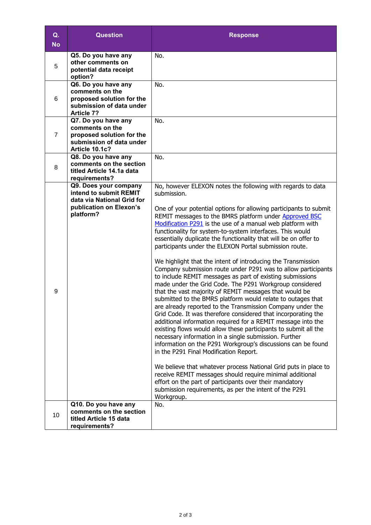| Q.<br><b>No</b> | <b>Question</b>                                                                                                       | <b>Response</b>                                                                                                                                                                                                                                                                                                                                                                                                                                                                                                                                                                                                                                                                                                                                                                                                                                                                                                                                                                                                                                                                                                                                                                                                                                                                                                                                                                                                                                                                                                                                             |
|-----------------|-----------------------------------------------------------------------------------------------------------------------|-------------------------------------------------------------------------------------------------------------------------------------------------------------------------------------------------------------------------------------------------------------------------------------------------------------------------------------------------------------------------------------------------------------------------------------------------------------------------------------------------------------------------------------------------------------------------------------------------------------------------------------------------------------------------------------------------------------------------------------------------------------------------------------------------------------------------------------------------------------------------------------------------------------------------------------------------------------------------------------------------------------------------------------------------------------------------------------------------------------------------------------------------------------------------------------------------------------------------------------------------------------------------------------------------------------------------------------------------------------------------------------------------------------------------------------------------------------------------------------------------------------------------------------------------------------|
| 5               | Q5. Do you have any<br>other comments on<br>potential data receipt<br>option?                                         | No.                                                                                                                                                                                                                                                                                                                                                                                                                                                                                                                                                                                                                                                                                                                                                                                                                                                                                                                                                                                                                                                                                                                                                                                                                                                                                                                                                                                                                                                                                                                                                         |
| 6               | Q6. Do you have any<br>comments on the<br>proposed solution for the<br>submission of data under<br><b>Article 7?</b>  | No.                                                                                                                                                                                                                                                                                                                                                                                                                                                                                                                                                                                                                                                                                                                                                                                                                                                                                                                                                                                                                                                                                                                                                                                                                                                                                                                                                                                                                                                                                                                                                         |
| $\overline{7}$  | Q7. Do you have any<br>comments on the<br>proposed solution for the<br>submission of data under<br>Article 10.1c?     | No.                                                                                                                                                                                                                                                                                                                                                                                                                                                                                                                                                                                                                                                                                                                                                                                                                                                                                                                                                                                                                                                                                                                                                                                                                                                                                                                                                                                                                                                                                                                                                         |
| 8               | Q8. Do you have any<br>comments on the section<br>titled Article 14.1a data<br>requirements?                          | No.                                                                                                                                                                                                                                                                                                                                                                                                                                                                                                                                                                                                                                                                                                                                                                                                                                                                                                                                                                                                                                                                                                                                                                                                                                                                                                                                                                                                                                                                                                                                                         |
| 9               | Q9. Does your company<br>intend to submit REMIT<br>data via National Grid for<br>publication on Elexon's<br>platform? | No, however ELEXON notes the following with regards to data<br>submission.<br>One of your potential options for allowing participants to submit<br>REMIT messages to the BMRS platform under Approved BSC<br>Modification P291 is the use of a manual web platform with<br>functionality for system-to-system interfaces. This would<br>essentially duplicate the functionality that will be on offer to<br>participants under the ELEXON Portal submission route.<br>We highlight that the intent of introducing the Transmission<br>Company submission route under P291 was to allow participants<br>to include REMIT messages as part of existing submissions<br>made under the Grid Code. The P291 Workgroup considered<br>that the vast majority of REMIT messages that would be<br>submitted to the BMRS platform would relate to outages that<br>are already reported to the Transmission Company under the<br>Grid Code. It was therefore considered that incorporating the<br>additional information required for a REMIT message into the<br>existing flows would allow these participants to submit all the<br>necessary information in a single submission. Further<br>information on the P291 Workgroup's discussions can be found<br>in the P291 Final Modification Report.<br>We believe that whatever process National Grid puts in place to<br>receive REMIT messages should require minimal additional<br>effort on the part of participants over their mandatory<br>submission requirements, as per the intent of the P291<br>Workgroup. |
| 10              | Q10. Do you have any<br>comments on the section<br>titled Article 15 data<br>requirements?                            | No.                                                                                                                                                                                                                                                                                                                                                                                                                                                                                                                                                                                                                                                                                                                                                                                                                                                                                                                                                                                                                                                                                                                                                                                                                                                                                                                                                                                                                                                                                                                                                         |